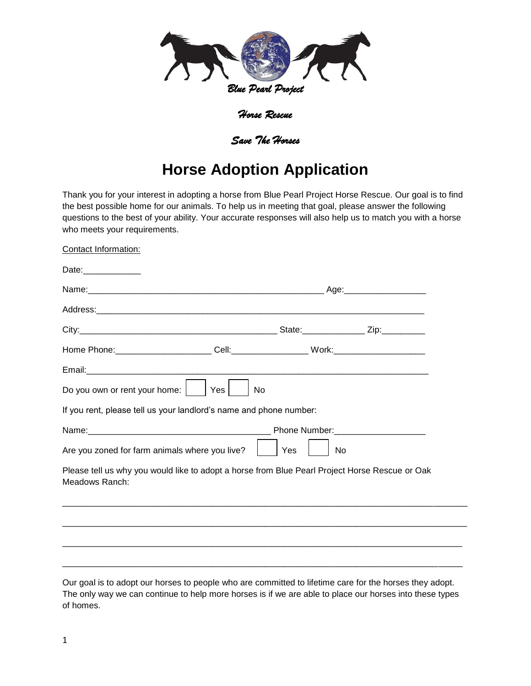

*Save The Horses*

# **Horse Adoption Application**

Thank you for your interest in adopting a horse from Blue Pearl Project Horse Rescue. Our goal is to find the best possible home for our animals. To help us in meeting that goal, please answer the following questions to the best of your ability. Your accurate responses will also help us to match you with a horse who meets your requirements.

| <b>Contact Information:</b>                                                                                      |           |     |    |  |
|------------------------------------------------------------------------------------------------------------------|-----------|-----|----|--|
| Date:______________                                                                                              |           |     |    |  |
|                                                                                                                  |           |     |    |  |
|                                                                                                                  |           |     |    |  |
|                                                                                                                  |           |     |    |  |
|                                                                                                                  |           |     |    |  |
|                                                                                                                  |           |     |    |  |
| Do you own or rent your home:                                                                                    | Yes<br>No |     |    |  |
| If you rent, please tell us your landlord's name and phone number:                                               |           |     |    |  |
|                                                                                                                  |           |     |    |  |
| Are you zoned for farm animals where you live?                                                                   |           | Yes | No |  |
| Please tell us why you would like to adopt a horse from Blue Pearl Project Horse Rescue or Oak<br>Meadows Ranch: |           |     |    |  |
|                                                                                                                  |           |     |    |  |
|                                                                                                                  |           |     |    |  |
|                                                                                                                  |           |     |    |  |
|                                                                                                                  |           |     |    |  |
|                                                                                                                  |           |     |    |  |

Our goal is to adopt our horses to people who are committed to lifetime care for the horses they adopt. The only way we can continue to help more horses is if we are able to place our horses into these types of homes.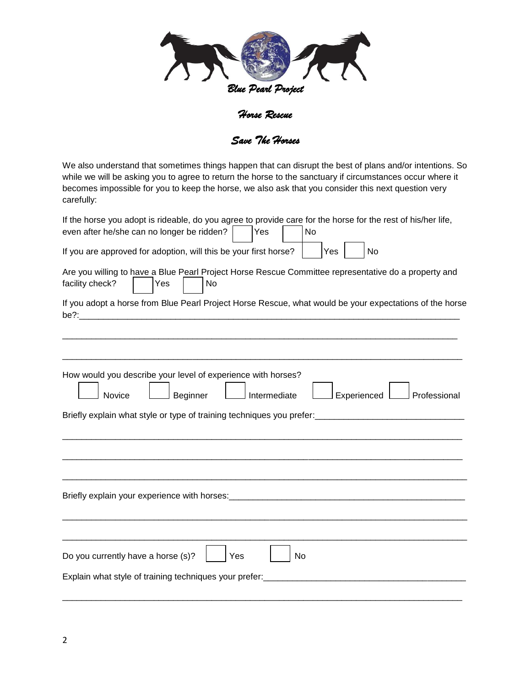

*Save The Horses*

We also understand that sometimes things happen that can disrupt the best of plans and/or intentions. So while we will be asking you to agree to return the horse to the sanctuary if circumstances occur where it becomes impossible for you to keep the horse, we also ask that you consider this next question very carefully:

| If the horse you adopt is rideable, do you agree to provide care for the horse for the rest of his/her life,<br>even after he/she can no longer be ridden?<br>Yes<br>N <sub>o</sub>                                                                                                                                                                                    |  |  |  |  |  |  |  |
|------------------------------------------------------------------------------------------------------------------------------------------------------------------------------------------------------------------------------------------------------------------------------------------------------------------------------------------------------------------------|--|--|--|--|--|--|--|
| If you are approved for adoption, will this be your first horse?<br>Yes<br><b>No</b>                                                                                                                                                                                                                                                                                   |  |  |  |  |  |  |  |
| Are you willing to have a Blue Pearl Project Horse Rescue Committee representative do a property and<br>facility check?<br>Yes<br>No<br>If you adopt a horse from Blue Pearl Project Horse Rescue, what would be your expectations of the horse<br>be?:                                                                                                                |  |  |  |  |  |  |  |
| How would you describe your level of experience with horses?<br>Beginner<br>Novice<br>Intermediate<br>Experienced<br>Professional<br>Briefly explain what style or type of training techniques you prefer:<br>example of the content of the content of the content of the content of the content of the content of the content of the content of the content of the co |  |  |  |  |  |  |  |
|                                                                                                                                                                                                                                                                                                                                                                        |  |  |  |  |  |  |  |
| Do you currently have a horse (s)?<br>No<br>Yes<br>Explain what style of training techniques your prefer:                                                                                                                                                                                                                                                              |  |  |  |  |  |  |  |

\_\_\_\_\_\_\_\_\_\_\_\_\_\_\_\_\_\_\_\_\_\_\_\_\_\_\_\_\_\_\_\_\_\_\_\_\_\_\_\_\_\_\_\_\_\_\_\_\_\_\_\_\_\_\_\_\_\_\_\_\_\_\_\_\_\_\_\_\_\_\_\_\_\_\_\_\_\_\_\_\_\_\_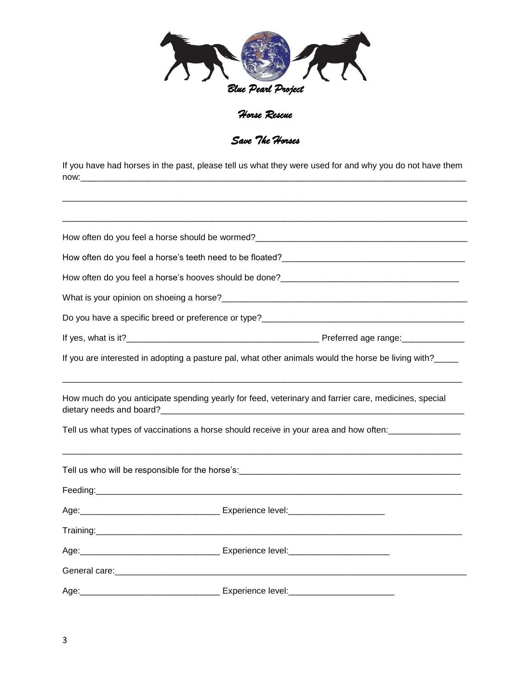

#### *Save The Horses*

If you have had horses in the past, please tell us what they were used for and why you do not have them now:\_\_\_\_\_\_\_\_\_\_\_\_\_\_\_\_\_\_\_\_\_\_\_\_\_\_\_\_\_\_\_\_\_\_\_\_\_\_\_\_\_\_\_\_\_\_\_\_\_\_\_\_\_\_\_\_\_\_\_\_\_\_\_\_\_\_\_\_\_\_\_\_\_\_\_\_\_\_\_\_

\_\_\_\_\_\_\_\_\_\_\_\_\_\_\_\_\_\_\_\_\_\_\_\_\_\_\_\_\_\_\_\_\_\_\_\_\_\_\_\_\_\_\_\_\_\_\_\_\_\_\_\_\_\_\_\_\_\_\_\_\_\_\_\_\_\_\_\_\_\_\_\_\_\_\_\_\_\_\_\_\_\_\_\_

|        | If you are interested in adopting a pasture pal, what other animals would the horse be living with?            |
|--------|----------------------------------------------------------------------------------------------------------------|
|        | How much do you anticipate spending yearly for feed, veterinary and farrier care, medicines, special           |
|        | Tell us what types of vaccinations a horse should receive in your area and how often:                          |
|        | Tell us who will be responsible for the horse's: [19] Tell us who was not all the responsible for the horse's: |
|        |                                                                                                                |
|        |                                                                                                                |
|        |                                                                                                                |
|        |                                                                                                                |
|        |                                                                                                                |
| Age:__ |                                                                                                                |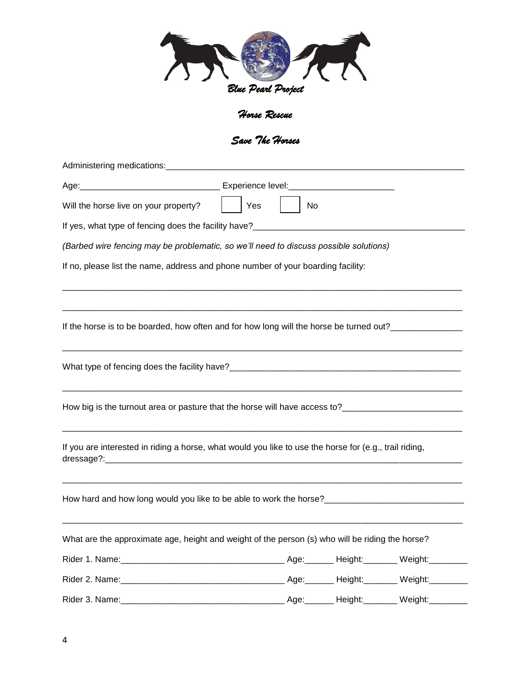

# *Save The Horses*

| Administering medications:                                                                             |            |  |  |  |  |  |  |
|--------------------------------------------------------------------------------------------------------|------------|--|--|--|--|--|--|
|                                                                                                        |            |  |  |  |  |  |  |
| Will the horse live on your property?                                                                  | Yes<br>No. |  |  |  |  |  |  |
| If yes, what type of fencing does the facility have?____________________________                       |            |  |  |  |  |  |  |
| (Barbed wire fencing may be problematic, so we'll need to discuss possible solutions)                  |            |  |  |  |  |  |  |
| If no, please list the name, address and phone number of your boarding facility:                       |            |  |  |  |  |  |  |
|                                                                                                        |            |  |  |  |  |  |  |
|                                                                                                        |            |  |  |  |  |  |  |
| If the horse is to be boarded, how often and for how long will the horse be turned out?                |            |  |  |  |  |  |  |
|                                                                                                        |            |  |  |  |  |  |  |
|                                                                                                        |            |  |  |  |  |  |  |
| How big is the turnout area or pasture that the horse will have access to?_________________________    |            |  |  |  |  |  |  |
|                                                                                                        |            |  |  |  |  |  |  |
| If you are interested in riding a horse, what would you like to use the horse for (e.g., trail riding, |            |  |  |  |  |  |  |
|                                                                                                        |            |  |  |  |  |  |  |
| How hard and how long would you like to be able to work the horse?__________________________________   |            |  |  |  |  |  |  |
|                                                                                                        |            |  |  |  |  |  |  |
| What are the approximate age, height and weight of the person (s) who will be riding the horse?        |            |  |  |  |  |  |  |
|                                                                                                        |            |  |  |  |  |  |  |
|                                                                                                        |            |  |  |  |  |  |  |
| Rider 3. Name:                                                                                         |            |  |  |  |  |  |  |